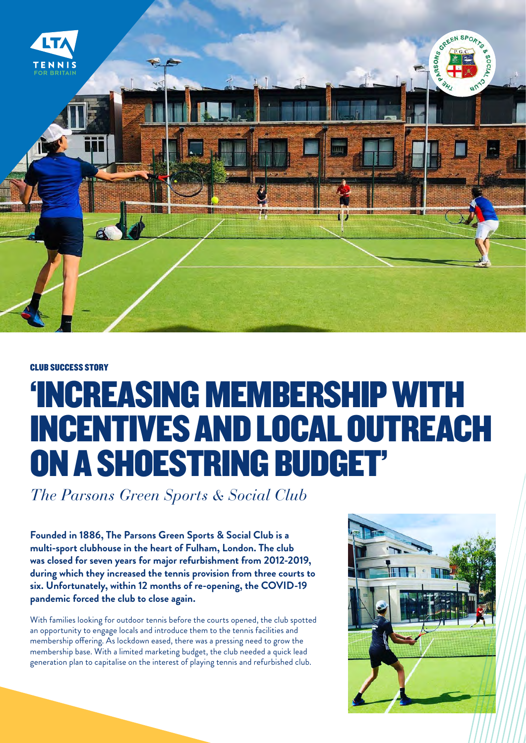

#### CLUB SUCCESS STORY

# 'INCREASING MEMBERSHIP WITH INCENTIVES AND LOCAL OUTREACH ON A SHOESTRING BUDGET'

*The Parsons Green Sports & Social Club*

**Founded in 1886, The Parsons Green Sports & Social Club is a multi-sport clubhouse in the heart of Fulham, London. The club was closed for seven years for major refurbishment from 2012-2019, during which they increased the tennis provision from three courts to six. Unfortunately, within 12 months of re-opening, the COVID-19 pandemic forced the club to close again.** 

With families looking for outdoor tennis before the courts opened, the club spotted an opportunity to engage locals and introduce them to the tennis facilities and membership offering. As lockdown eased, there was a pressing need to grow the membership base. With a limited marketing budget, the club needed a quick lead generation plan to capitalise on the interest of playing tennis and refurbished club.